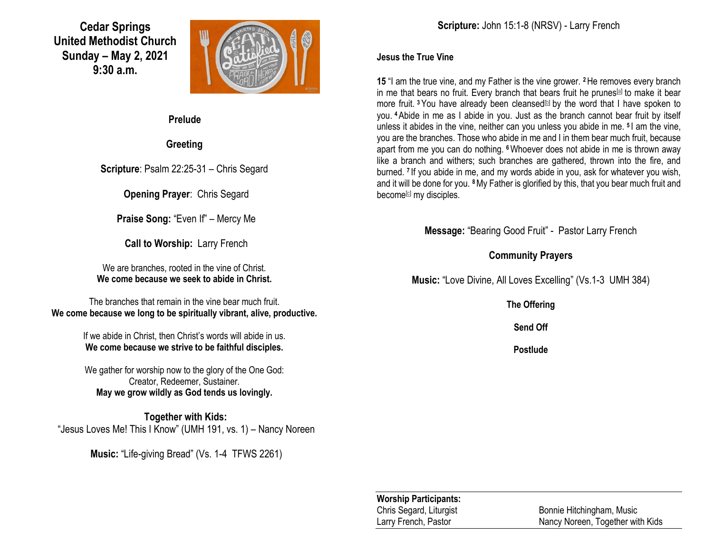**Cedar Springs United Methodist Church Sunday – May 2, 2021 9:30 a.m.**



**Prelude**

**Greeting**

**Scripture**: Psalm 22:25-31 – Chris Segard

**Opening Prayer**: Chris Segard

**Praise Song:** "Even If" – Mercy Me

**Call to Worship:** Larry French

We are branches, rooted in the vine of Christ. **We come because we seek to abide in Christ.**

The branches that remain in the vine bear much fruit. **We come because we long to be spiritually vibrant, alive, productive.**

> If we abide in Christ, then Christ's words will abide in us. **We come because we strive to be faithful disciples.**

> We gather for worship now to the glory of the One God: Creator, Redeemer, Sustainer. **May we grow wildly as God tends us lovingly.**

**Together with Kids:** "Jesus Loves Me! This I Know" (UMH 191, vs. 1) – Nancy Noreen

**Music:** "Life-giving Bread" (Vs. 1-4 TFWS 2261)

**Scripture:** John 15:1-8 (NRSV) - Larry French

#### **Jesus the True Vine**

**15** "I am the true vine, and my Father is the vine grower. **<sup>2</sup>**He removes every branch in me that bears no fruit. Every branch that bears fruit he prunes<sup>[\[a\]](https://www.biblegateway.com/passage/?search=john+15%3A1-8&version=NRSV#fen-NRSV-26691a)</sup> to make it bear more fruit. <sup>3</sup>You have already been cleansed<sup>[\[b\]](https://www.biblegateway.com/passage/?search=john+15%3A1-8&version=NRSV#fen-NRSV-26692b)</sup> by the word that I have spoken to you. **<sup>4</sup>**Abide in me as I abide in you. Just as the branch cannot bear fruit by itself unless it abides in the vine, neither can you unless you abide in me. **<sup>5</sup>** I am the vine, you are the branches. Those who abide in me and I in them bear much fruit, because apart from me you can do nothing. **<sup>6</sup>**Whoever does not abide in me is thrown away like a branch and withers; such branches are gathered, thrown into the fire, and burned. **<sup>7</sup>** If you abide in me, and my words abide in you, ask for whatever you wish, and it will be done for you. **<sup>8</sup>**My Father is glorified by this, that you bear much fruit and become<sup>[\[c\]](https://www.biblegateway.com/passage/?search=john+15%3A1-8&version=NRSV#fen-NRSV-26697c)</sup> my disciples.

**Message:** "Bearing Good Fruit" - Pastor Larry French

### **Community Prayers**

**Music:** "Love Divine, All Loves Excelling" (Vs.1-3 UMH 384)

**The Offering**

**Send Off**

**Postlude**

**Worship Participants:**

Chris Segard, Liturgist Bonnie Hitchingham, Music Larry French, Pastor Nancy Noreen, Together with Kids